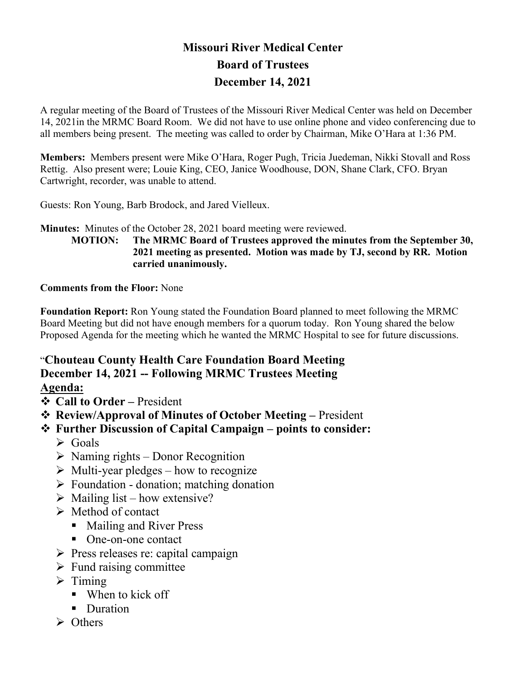## **Missouri River Medical Center Board of Trustees December 14, 2021**

A regular meeting of the Board of Trustees of the Missouri River Medical Center was held on December 14, 2021in the MRMC Board Room. We did not have to use online phone and video conferencing due to all members being present. The meeting was called to order by Chairman, Mike O'Hara at 1:36 PM.

**Members:** Members present were Mike O'Hara, Roger Pugh, Tricia Juedeman, Nikki Stovall and Ross Rettig. Also present were; Louie King, CEO, Janice Woodhouse, DON, Shane Clark, CFO. Bryan Cartwright, recorder, was unable to attend.

Guests: Ron Young, Barb Brodock, and Jared Vielleux.

**Minutes:** Minutes of the October 28, 2021 board meeting were reviewed.

**MOTION: The MRMC Board of Trustees approved the minutes from the September 30, 2021 meeting as presented. Motion was made by TJ, second by RR. Motion carried unanimously.**

### **Comments from the Floor:** None

**Foundation Report:** Ron Young stated the Foundation Board planned to meet following the MRMC Board Meeting but did not have enough members for a quorum today. Ron Young shared the below Proposed Agenda for the meeting which he wanted the MRMC Hospital to see for future discussions.

# "**Chouteau County Health Care Foundation Board Meeting December 14, 2021 -- Following MRMC Trustees Meeting**

## **Agenda:**

- **Call to Order –** President
- **EXECTE: Review/Approval of Minutes of October Meeting President ↓**
- **Further Discussion of Capital Campaign – points to consider:** 
	- $\triangleright$  Goals
	- $\triangleright$  Naming rights Donor Recognition
	- $\triangleright$  Multi-year pledges how to recognize
	- $\triangleright$  Foundation donation; matching donation
	- $\triangleright$  Mailing list how extensive?
	- $\triangleright$  Method of contact
		- Mailing and River Press
		- One-on-one contact
	- $\triangleright$  Press releases re: capital campaign
	- $\triangleright$  Fund raising committee
	- $\triangleright$  Timing
		- When to kick off
		- Duration
	- $\triangleright$  Others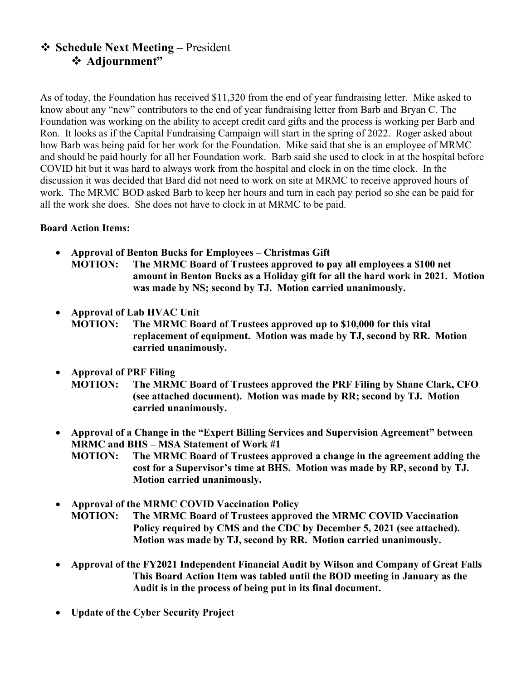## **Schedule Next Meeting –** President **Adjournment"**

As of today, the Foundation has received \$11,320 from the end of year fundraising letter. Mike asked to know about any "new" contributors to the end of year fundraising letter from Barb and Bryan C. The Foundation was working on the ability to accept credit card gifts and the process is working per Barb and Ron. It looks as if the Capital Fundraising Campaign will start in the spring of 2022. Roger asked about how Barb was being paid for her work for the Foundation. Mike said that she is an employee of MRMC and should be paid hourly for all her Foundation work. Barb said she used to clock in at the hospital before COVID hit but it was hard to always work from the hospital and clock in on the time clock. In the discussion it was decided that Bard did not need to work on site at MRMC to receive approved hours of work. The MRMC BOD asked Barb to keep her hours and turn in each pay period so she can be paid for all the work she does. She does not have to clock in at MRMC to be paid.

#### **Board Action Items:**

- **Approval of Benton Bucks for Employees – Christmas Gift MOTION: The MRMC Board of Trustees approved to pay all employees a \$100 net amount in Benton Bucks as a Holiday gift for all the hard work in 2021. Motion was made by NS; second by TJ. Motion carried unanimously.**
- **Approval of Lab HVAC Unit MOTION: The MRMC Board of Trustees approved up to \$10,000 for this vital replacement of equipment. Motion was made by TJ, second by RR. Motion carried unanimously.**
- **Approval of PRF Filing MOTION: The MRMC Board of Trustees approved the PRF Filing by Shane Clark, CFO (see attached document). Motion was made by RR; second by TJ. Motion carried unanimously.**
- **Approval of a Change in the "Expert Billing Services and Supervision Agreement" between MRMC and BHS – MSA Statement of Work #1**
	- **MOTION: The MRMC Board of Trustees approved a change in the agreement adding the cost for a Supervisor's time at BHS. Motion was made by RP, second by TJ. Motion carried unanimously.**
- **Approval of the MRMC COVID Vaccination Policy MOTION: The MRMC Board of Trustees approved the MRMC COVID Vaccination Policy required by CMS and the CDC by December 5, 2021 (see attached). Motion was made by TJ, second by RR. Motion carried unanimously.**
- **Approval of the FY2021 Independent Financial Audit by Wilson and Company of Great Falls This Board Action Item was tabled until the BOD meeting in January as the Audit is in the process of being put in its final document.**
- **Update of the Cyber Security Project**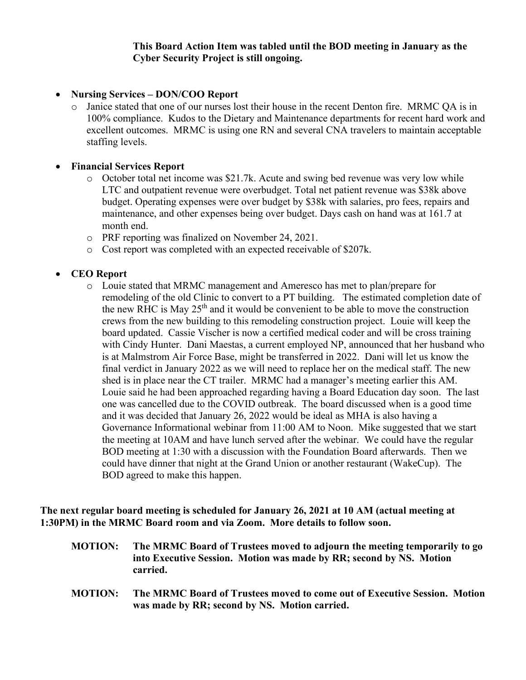#### **This Board Action Item was tabled until the BOD meeting in January as the Cyber Security Project is still ongoing.**

#### • **Nursing Services – DON/COO Report**

o Janice stated that one of our nurses lost their house in the recent Denton fire. MRMC QA is in 100% compliance. Kudos to the Dietary and Maintenance departments for recent hard work and excellent outcomes. MRMC is using one RN and several CNA travelers to maintain acceptable staffing levels.

#### • **Financial Services Report**

- o October total net income was \$21.7k. Acute and swing bed revenue was very low while LTC and outpatient revenue were overbudget. Total net patient revenue was \$38k above budget. Operating expenses were over budget by \$38k with salaries, pro fees, repairs and maintenance, and other expenses being over budget. Days cash on hand was at 161.7 at month end.
- o PRF reporting was finalized on November 24, 2021.
- o Cost report was completed with an expected receivable of \$207k.

#### • **CEO Report**

o Louie stated that MRMC management and Ameresco has met to plan/prepare for remodeling of the old Clinic to convert to a PT building. The estimated completion date of the new RHC is May  $25<sup>th</sup>$  and it would be convenient to be able to move the construction crews from the new building to this remodeling construction project. Louie will keep the board updated. Cassie Vischer is now a certified medical coder and will be cross training with Cindy Hunter. Dani Maestas, a current employed NP, announced that her husband who is at Malmstrom Air Force Base, might be transferred in 2022. Dani will let us know the final verdict in January 2022 as we will need to replace her on the medical staff. The new shed is in place near the CT trailer. MRMC had a manager's meeting earlier this AM. Louie said he had been approached regarding having a Board Education day soon. The last one was cancelled due to the COVID outbreak. The board discussed when is a good time and it was decided that January 26, 2022 would be ideal as MHA is also having a Governance Informational webinar from 11:00 AM to Noon. Mike suggested that we start the meeting at 10AM and have lunch served after the webinar. We could have the regular BOD meeting at 1:30 with a discussion with the Foundation Board afterwards. Then we could have dinner that night at the Grand Union or another restaurant (WakeCup). The BOD agreed to make this happen.

**The next regular board meeting is scheduled for January 26, 2021 at 10 AM (actual meeting at 1:30PM) in the MRMC Board room and via Zoom. More details to follow soon.**

- **MOTION: The MRMC Board of Trustees moved to adjourn the meeting temporarily to go into Executive Session. Motion was made by RR; second by NS. Motion carried.**
- **MOTION: The MRMC Board of Trustees moved to come out of Executive Session. Motion was made by RR; second by NS. Motion carried.**